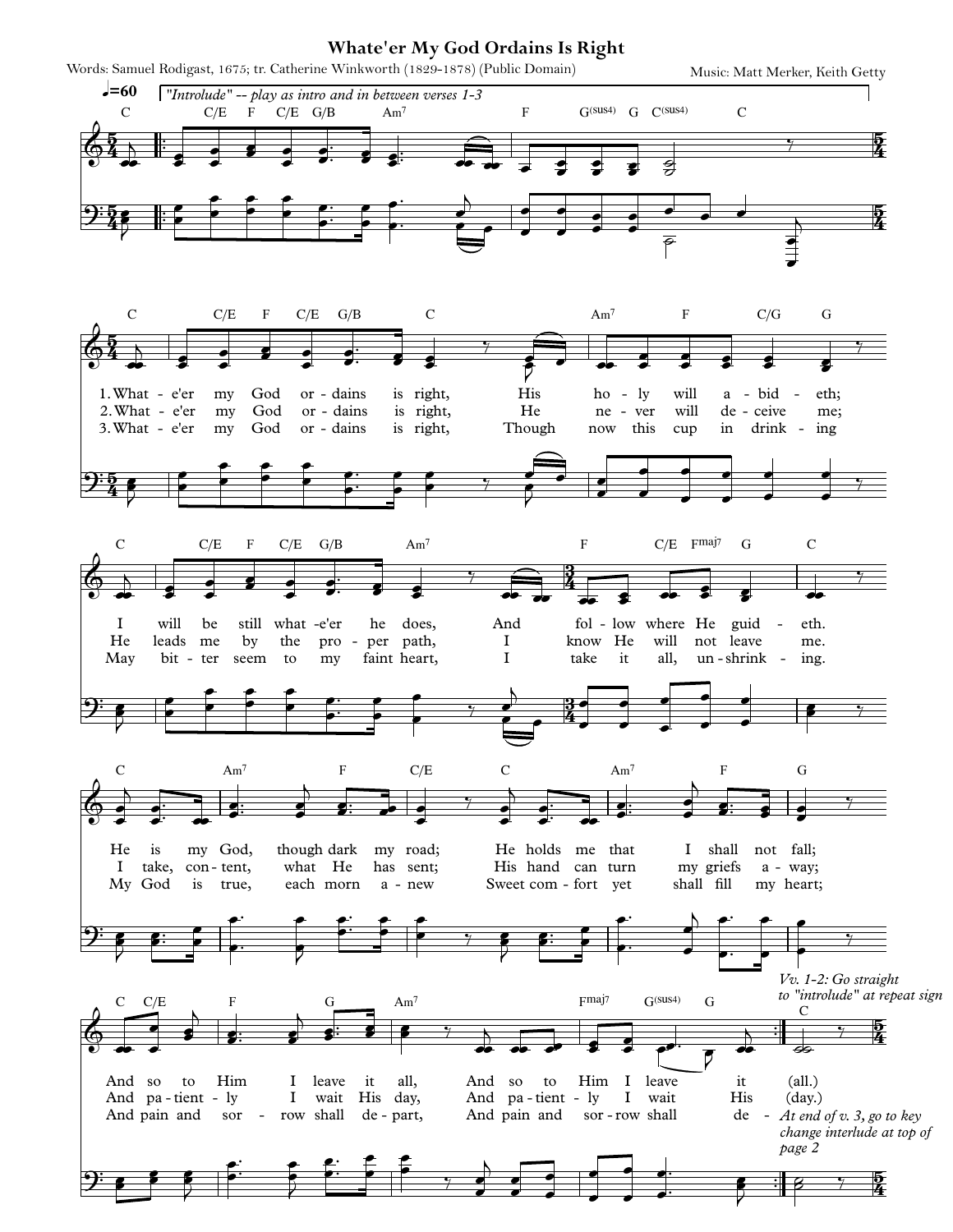